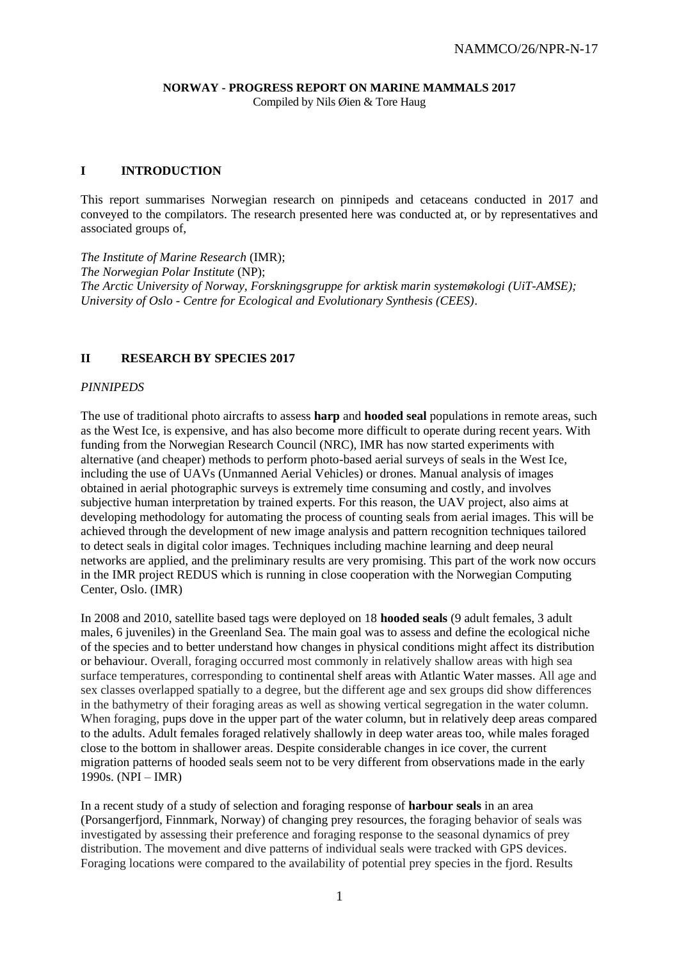# **NORWAY - PROGRESS REPORT ON MARINE MAMMALS 2017**

Compiled by Nils Øien & Tore Haug

# **I INTRODUCTION**

This report summarises Norwegian research on pinnipeds and cetaceans conducted in 2017 and conveyed to the compilators. The research presented here was conducted at, or by representatives and associated groups of,

*The Institute of Marine Research* (IMR); *The Norwegian Polar Institute* (NP); *The Arctic University of Norway, Forskningsgruppe for arktisk marin systemøkologi (UiT-AMSE); University of Oslo - Centre for Ecological and Evolutionary Synthesis (CEES)*.

# **II RESEARCH BY SPECIES 2017**

## *PINNIPEDS*

The use of traditional photo aircrafts to assess **harp** and **hooded seal** populations in remote areas, such as the West Ice, is expensive, and has also become more difficult to operate during recent years. With funding from the Norwegian Research Council (NRC), IMR has now started experiments with alternative (and cheaper) methods to perform photo-based aerial surveys of seals in the West Ice, including the use of UAVs (Unmanned Aerial Vehicles) or drones. Manual analysis of images obtained in aerial photographic surveys is extremely time consuming and costly, and involves subjective human interpretation by trained experts. For this reason, the UAV project, also aims at developing methodology for automating the process of counting seals from aerial images. This will be achieved through the development of new image analysis and pattern recognition techniques tailored to detect seals in digital color images. Techniques including machine learning and deep neural networks are applied, and the preliminary results are very promising. This part of the work now occurs in the IMR project REDUS which is running in close cooperation with the Norwegian Computing Center, Oslo. (IMR)

In 2008 and 2010, satellite based tags were deployed on 18 **hooded seals** (9 adult females, 3 adult males, 6 juveniles) in the Greenland Sea. The main goal was to assess and define the ecological niche of the species and to better understand how changes in physical conditions might affect its distribution or behaviour. Overall, foraging occurred most commonly in relatively shallow areas with high sea surface temperatures, corresponding to continental shelf areas with Atlantic Water masses. All age and sex classes overlapped spatially to a degree, but the different age and sex groups did show differences in the bathymetry of their foraging areas as well as showing vertical segregation in the water column. When foraging, pups dove in the upper part of the water column, but in relatively deep areas compared to the adults. Adult females foraged relatively shallowly in deep water areas too, while males foraged close to the bottom in shallower areas. Despite considerable changes in ice cover, the current migration patterns of hooded seals seem not to be very different from observations made in the early 1990s. (NPI – IMR)

In a recent study of a study of selection and foraging response of **harbour seals** in an area (Porsangerfjord, Finnmark, Norway) of changing prey resources, the foraging behavior of seals was investigated by assessing their preference and foraging response to the seasonal dynamics of prey distribution. The movement and dive patterns of individual seals were tracked with GPS devices. Foraging locations were compared to the availability of potential prey species in the fjord. Results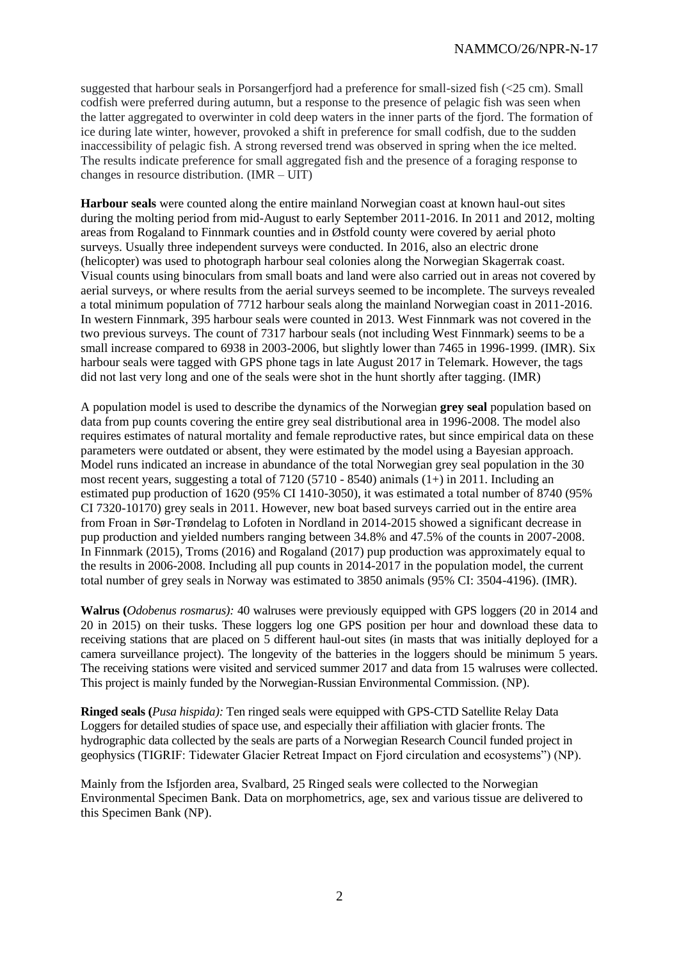suggested that harbour seals in Porsangerfjord had a preference for small-sized fish (<25 cm). Small codfish were preferred during autumn, but a response to the presence of pelagic fish was seen when the latter aggregated to overwinter in cold deep waters in the inner parts of the fjord. The formation of ice during late winter, however, provoked a shift in preference for small codfish, due to the sudden inaccessibility of pelagic fish. A strong reversed trend was observed in spring when the ice melted. The results indicate preference for small aggregated fish and the presence of a foraging response to changes in resource distribution. (IMR – UIT)

**Harbour seals** were counted along the entire mainland Norwegian coast at known haul-out sites during the molting period from mid-August to early September 2011-2016. In 2011 and 2012, molting areas from Rogaland to Finnmark counties and in Østfold county were covered by aerial photo surveys. Usually three independent surveys were conducted. In 2016, also an electric drone (helicopter) was used to photograph harbour seal colonies along the Norwegian Skagerrak coast. Visual counts using binoculars from small boats and land were also carried out in areas not covered by aerial surveys, or where results from the aerial surveys seemed to be incomplete. The surveys revealed a total minimum population of 7712 harbour seals along the mainland Norwegian coast in 2011-2016. In western Finnmark, 395 harbour seals were counted in 2013. West Finnmark was not covered in the two previous surveys. The count of 7317 harbour seals (not including West Finnmark) seems to be a small increase compared to 6938 in 2003-2006, but slightly lower than 7465 in 1996-1999. (IMR). Six harbour seals were tagged with GPS phone tags in late August 2017 in Telemark. However, the tags did not last very long and one of the seals were shot in the hunt shortly after tagging. (IMR)

A population model is used to describe the dynamics of the Norwegian **grey seal** population based on data from pup counts covering the entire grey seal distributional area in 1996-2008. The model also requires estimates of natural mortality and female reproductive rates, but since empirical data on these parameters were outdated or absent, they were estimated by the model using a Bayesian approach. Model runs indicated an increase in abundance of the total Norwegian grey seal population in the 30 most recent years, suggesting a total of  $7120 (5710 - 8540)$  animals  $(1+)$  in 2011. Including an estimated pup production of 1620 (95% CI 1410-3050), it was estimated a total number of 8740 (95% CI 7320-10170) grey seals in 2011. However, new boat based surveys carried out in the entire area from Froan in Sør-Trøndelag to Lofoten in Nordland in 2014-2015 showed a significant decrease in pup production and yielded numbers ranging between 34.8% and 47.5% of the counts in 2007-2008. In Finnmark (2015), Troms (2016) and Rogaland (2017) pup production was approximately equal to the results in 2006-2008. Including all pup counts in 2014-2017 in the population model, the current total number of grey seals in Norway was estimated to 3850 animals (95% CI: 3504-4196). (IMR).

**Walrus (***Odobenus rosmarus):* 40 walruses were previously equipped with GPS loggers (20 in 2014 and 20 in 2015) on their tusks. These loggers log one GPS position per hour and download these data to receiving stations that are placed on 5 different haul-out sites (in masts that was initially deployed for a camera surveillance project). The longevity of the batteries in the loggers should be minimum 5 years. The receiving stations were visited and serviced summer 2017 and data from 15 walruses were collected. This project is mainly funded by the Norwegian-Russian Environmental Commission. (NP).

**Ringed seals (***Pusa hispida):* Ten ringed seals were equipped with GPS-CTD Satellite Relay Data Loggers for detailed studies of space use, and especially their affiliation with glacier fronts. The hydrographic data collected by the seals are parts of a Norwegian Research Council funded project in geophysics (TIGRIF: Tidewater Glacier Retreat Impact on Fjord circulation and ecosystems") (NP).

Mainly from the Isfjorden area, Svalbard, 25 Ringed seals were collected to the Norwegian Environmental Specimen Bank. Data on morphometrics, age, sex and various tissue are delivered to this Specimen Bank (NP).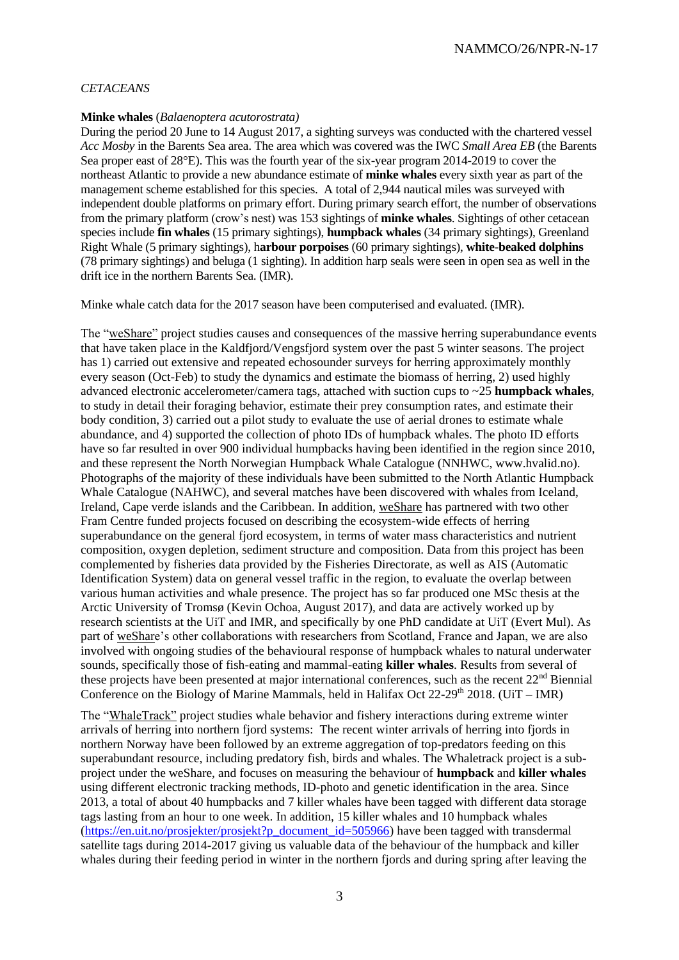## *CETACEANS*

#### **Minke whales** (*Balaenoptera acutorostrata)*

During the period 20 June to 14 August 2017, a sighting surveys was conducted with the chartered vessel *Acc Mosby* in the Barents Sea area. The area which was covered was the IWC *Small Area EB* (the Barents Sea proper east of 28°E). This was the fourth year of the six-year program 2014-2019 to cover the northeast Atlantic to provide a new abundance estimate of **minke whales** every sixth year as part of the management scheme established for this species. A total of 2,944 nautical miles was surveyed with independent double platforms on primary effort. During primary search effort, the number of observations from the primary platform (crow's nest) was 153 sightings of **minke whales**. Sightings of other cetacean species include **fin whales** (15 primary sightings), **humpback whales** (34 primary sightings), Greenland Right Whale (5 primary sightings), h**arbour porpoises** (60 primary sightings), **white-beaked dolphins** (78 primary sightings) and beluga (1 sighting). In addition harp seals were seen in open sea as well in the drift ice in the northern Barents Sea. (IMR).

Minke whale catch data for the 2017 season have been computerised and evaluated. (IMR).

The "weShare" project studies causes and consequences of the massive herring superabundance events that have taken place in the Kaldfjord/Vengsfjord system over the past 5 winter seasons. The project has 1) carried out extensive and repeated echosounder surveys for herring approximately monthly every season (Oct-Feb) to study the dynamics and estimate the biomass of herring, 2) used highly advanced electronic accelerometer/camera tags, attached with suction cups to ~25 **humpback whales**, to study in detail their foraging behavior, estimate their prey consumption rates, and estimate their body condition, 3) carried out a pilot study to evaluate the use of aerial drones to estimate whale abundance, and 4) supported the collection of photo IDs of humpback whales. The photo ID efforts have so far resulted in over 900 individual humpbacks having been identified in the region since 2010, and these represent the North Norwegian Humpback Whale Catalogue (NNHWC, www.hvalid.no). Photographs of the majority of these individuals have been submitted to the North Atlantic Humpback Whale Catalogue (NAHWC), and several matches have been discovered with whales from Iceland, Ireland, Cape verde islands and the Caribbean. In addition, weShare has partnered with two other Fram Centre funded projects focused on describing the ecosystem-wide effects of herring superabundance on the general fjord ecosystem, in terms of water mass characteristics and nutrient composition, oxygen depletion, sediment structure and composition. Data from this project has been complemented by fisheries data provided by the Fisheries Directorate, as well as AIS (Automatic Identification System) data on general vessel traffic in the region, to evaluate the overlap between various human activities and whale presence. The project has so far produced one MSc thesis at the Arctic University of Tromsø (Kevin Ochoa, August 2017), and data are actively worked up by research scientists at the UiT and IMR, and specifically by one PhD candidate at UiT (Evert Mul). As part of weShare's other collaborations with researchers from Scotland, France and Japan, we are also involved with ongoing studies of the behavioural response of humpback whales to natural underwater sounds, specifically those of fish-eating and mammal-eating **killer whales**. Results from several of these projects have been presented at major international conferences, such as the recent 22<sup>nd</sup> Biennial Conference on the Biology of Marine Mammals, held in Halifax Oct 22-29<sup>th</sup> 2018. (UiT – IMR)

The "WhaleTrack" project studies whale behavior and fishery interactions during extreme winter arrivals of herring into northern fjord systems:The recent winter arrivals of herring into fjords in northern Norway have been followed by an extreme aggregation of top-predators feeding on this superabundant resource, including predatory fish, birds and whales. The Whaletrack project is a subproject under the weShare, and focuses on measuring the behaviour of **humpback** and **killer whales** using different electronic tracking methods, ID-photo and genetic identification in the area. Since 2013, a total of about 40 humpbacks and 7 killer whales have been tagged with different data storage tags lasting from an hour to one week. In addition, 15 killer whales and 10 humpback whales [\(https://en.uit.no/prosjekter/prosjekt?p\\_document\\_id=505966\)](https://en.uit.no/prosjekter/prosjekt?p_document_id=505966) have been tagged with transdermal satellite tags during 2014-2017 giving us valuable data of the behaviour of the humpback and killer whales during their feeding period in winter in the northern fjords and during spring after leaving the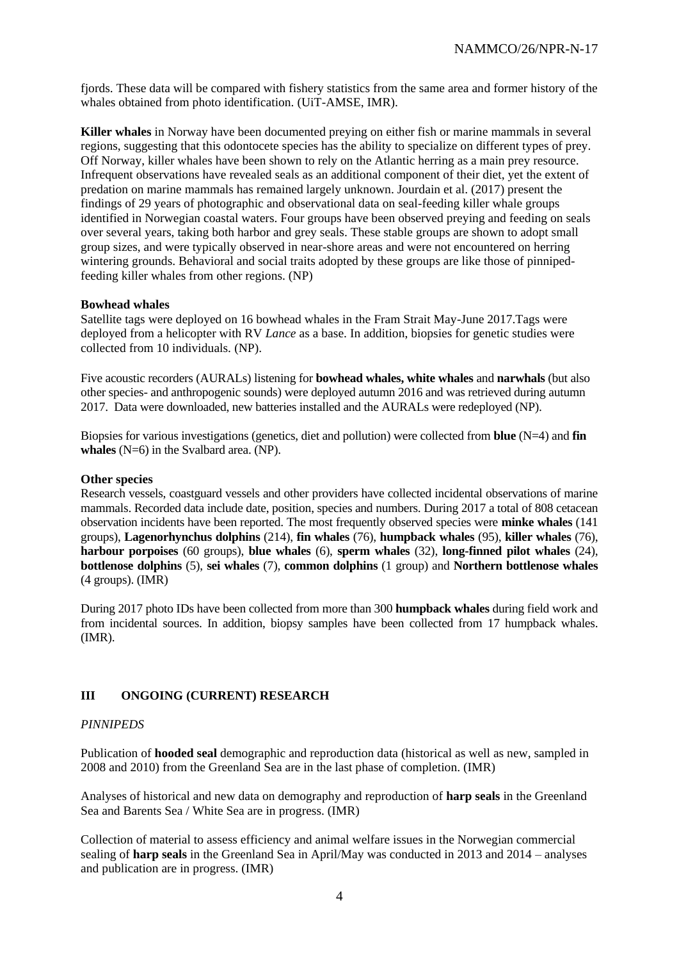fjords. These data will be compared with fishery statistics from the same area and former history of the whales obtained from photo identification. (UiT-AMSE, IMR).

**Killer whales** in Norway have been documented preying on either fish or marine mammals in several regions, suggesting that this odontocete species has the ability to specialize on different types of prey. Off Norway, killer whales have been shown to rely on the Atlantic herring as a main prey resource. Infrequent observations have revealed seals as an additional component of their diet, yet the extent of predation on marine mammals has remained largely unknown. Jourdain et al. (2017) present the findings of 29 years of photographic and observational data on seal-feeding killer whale groups identified in Norwegian coastal waters. Four groups have been observed preying and feeding on seals over several years, taking both harbor and grey seals. These stable groups are shown to adopt small group sizes, and were typically observed in near-shore areas and were not encountered on herring wintering grounds. Behavioral and social traits adopted by these groups are like those of pinnipedfeeding killer whales from other regions. (NP)

### **Bowhead whales**

Satellite tags were deployed on 16 bowhead whales in the Fram Strait May-June 2017.Tags were deployed from a helicopter with RV *Lance* as a base. In addition, biopsies for genetic studies were collected from 10 individuals. (NP).

Five acoustic recorders (AURALs) listening for **bowhead whales, white whales** and **narwhals** (but also other species- and anthropogenic sounds) were deployed autumn 2016 and was retrieved during autumn 2017. Data were downloaded, new batteries installed and the AURALs were redeployed (NP).

Biopsies for various investigations (genetics, diet and pollution) were collected from **blue** (N=4) and **fin whales** (N=6) in the Svalbard area. (NP).

## **Other species**

Research vessels, coastguard vessels and other providers have collected incidental observations of marine mammals. Recorded data include date, position, species and numbers. During 2017 a total of 808 cetacean observation incidents have been reported. The most frequently observed species were **minke whales** (141 groups), **Lagenorhynchus dolphins** (214), **fin whales** (76), **humpback whales** (95), **killer whales** (76), **harbour porpoises** (60 groups), **blue whales** (6), **sperm whales** (32), **long-finned pilot whales** (24), **bottlenose dolphins** (5), **sei whales** (7), **common dolphins** (1 group) and **Northern bottlenose whales** (4 groups). (IMR)

During 2017 photo IDs have been collected from more than 300 **humpback whales** during field work and from incidental sources. In addition, biopsy samples have been collected from 17 humpback whales. (IMR).

# **III ONGOING (CURRENT) RESEARCH**

### *PINNIPEDS*

Publication of **hooded seal** demographic and reproduction data (historical as well as new, sampled in 2008 and 2010) from the Greenland Sea are in the last phase of completion. (IMR)

Analyses of historical and new data on demography and reproduction of **harp seals** in the Greenland Sea and Barents Sea / White Sea are in progress. (IMR)

Collection of material to assess efficiency and animal welfare issues in the Norwegian commercial sealing of **harp seals** in the Greenland Sea in April/May was conducted in 2013 and 2014 – analyses and publication are in progress. (IMR)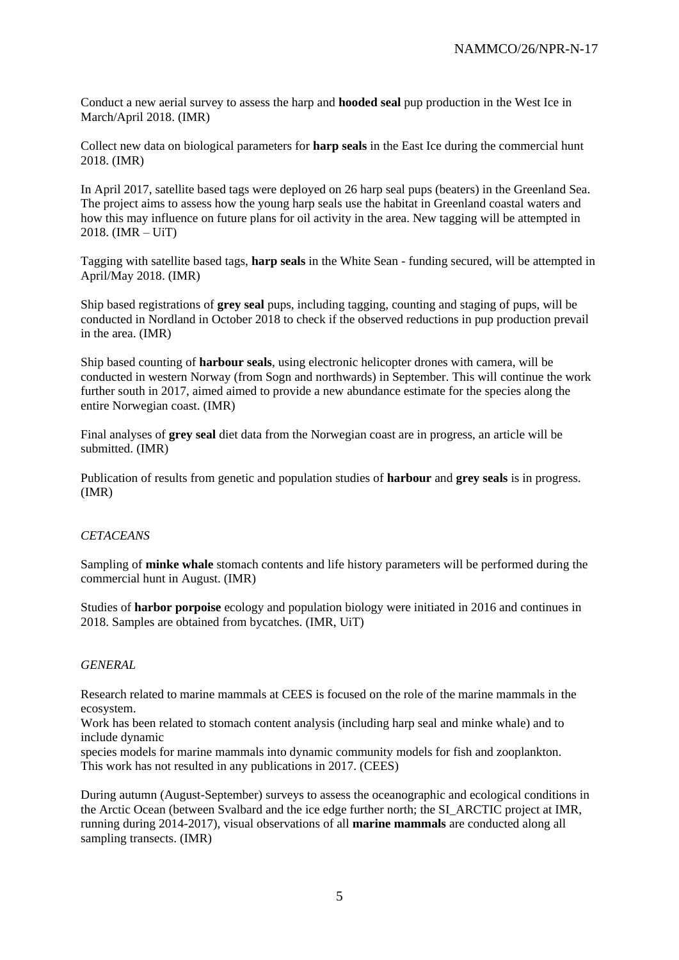Conduct a new aerial survey to assess the harp and **hooded seal** pup production in the West Ice in March/April 2018. (IMR)

Collect new data on biological parameters for **harp seals** in the East Ice during the commercial hunt 2018. (IMR)

In April 2017, satellite based tags were deployed on 26 harp seal pups (beaters) in the Greenland Sea. The project aims to assess how the young harp seals use the habitat in Greenland coastal waters and how this may influence on future plans for oil activity in the area. New tagging will be attempted in 2018. (IMR – UiT)

Tagging with satellite based tags, **harp seals** in the White Sean - funding secured, will be attempted in April/May 2018. (IMR)

Ship based registrations of **grey seal** pups, including tagging, counting and staging of pups, will be conducted in Nordland in October 2018 to check if the observed reductions in pup production prevail in the area. (IMR)

Ship based counting of **harbour seals**, using electronic helicopter drones with camera, will be conducted in western Norway (from Sogn and northwards) in September. This will continue the work further south in 2017, aimed aimed to provide a new abundance estimate for the species along the entire Norwegian coast. (IMR)

Final analyses of **grey seal** diet data from the Norwegian coast are in progress, an article will be submitted. (IMR)

Publication of results from genetic and population studies of **harbour** and **grey seals** is in progress. (IMR)

### *CETACEANS*

Sampling of **minke whale** stomach contents and life history parameters will be performed during the commercial hunt in August. (IMR)

Studies of **harbor porpoise** ecology and population biology were initiated in 2016 and continues in 2018. Samples are obtained from bycatches. (IMR, UiT)

#### *GENERAL*

Research related to marine mammals at CEES is focused on the role of the marine mammals in the ecosystem.

Work has been related to stomach content analysis (including harp seal and minke whale) and to include dynamic

species models for marine mammals into dynamic community models for fish and zooplankton. This work has not resulted in any publications in 2017. (CEES)

During autumn (August-September) surveys to assess the oceanographic and ecological conditions in the Arctic Ocean (between Svalbard and the ice edge further north; the SI\_ARCTIC project at IMR, running during 2014-2017), visual observations of all **marine mammals** are conducted along all sampling transects. (IMR)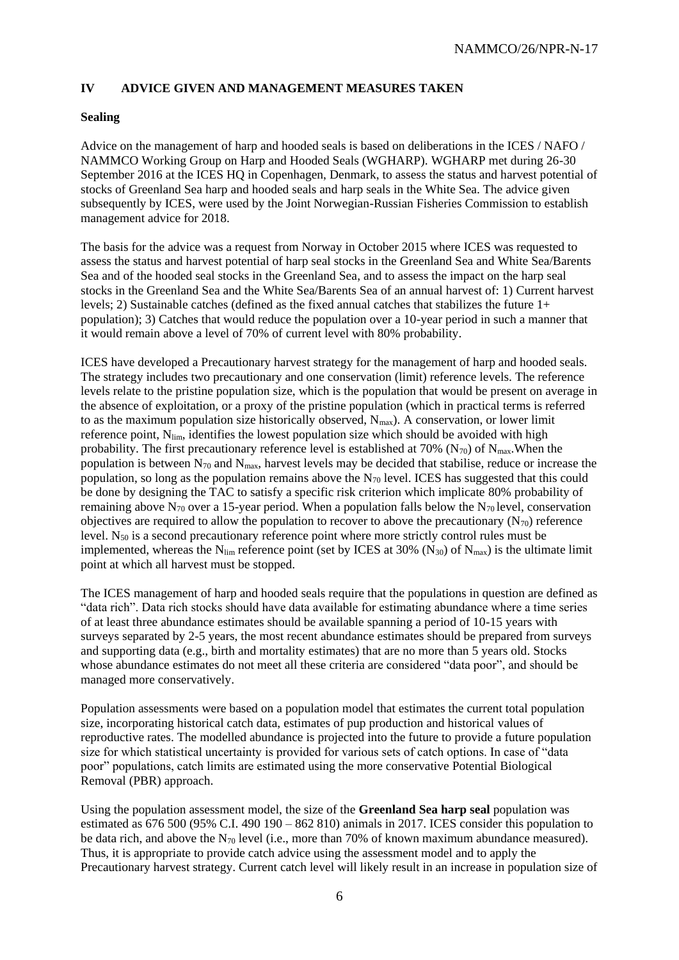# **IV ADVICE GIVEN AND MANAGEMENT MEASURES TAKEN**

## **Sealing**

Advice on the management of harp and hooded seals is based on deliberations in the ICES / NAFO / NAMMCO Working Group on Harp and Hooded Seals (WGHARP). WGHARP met during 26-30 September 2016 at the ICES HQ in Copenhagen, Denmark, to assess the status and harvest potential of stocks of Greenland Sea harp and hooded seals and harp seals in the White Sea. The advice given subsequently by ICES, were used by the Joint Norwegian-Russian Fisheries Commission to establish management advice for 2018.

The basis for the advice was a request from Norway in October 2015 where ICES was requested to assess the status and harvest potential of harp seal stocks in the Greenland Sea and White Sea/Barents Sea and of the hooded seal stocks in the Greenland Sea, and to assess the impact on the harp seal stocks in the Greenland Sea and the White Sea/Barents Sea of an annual harvest of: 1) Current harvest levels; 2) Sustainable catches (defined as the fixed annual catches that stabilizes the future 1+ population); 3) Catches that would reduce the population over a 10-year period in such a manner that it would remain above a level of 70% of current level with 80% probability.

ICES have developed a Precautionary harvest strategy for the management of harp and hooded seals. The strategy includes two precautionary and one conservation (limit) reference levels. The reference levels relate to the pristine population size, which is the population that would be present on average in the absence of exploitation, or a proxy of the pristine population (which in practical terms is referred to as the maximum population size historically observed,  $N_{max}$ ). A conservation, or lower limit reference point, N<sub>im</sub>, identifies the lowest population size which should be avoided with high probability. The first precautionary reference level is established at 70% ( $N_{70}$ ) of  $N_{max}$ . When the population is between  $N_{70}$  and  $N_{\text{max}}$ , harvest levels may be decided that stabilise, reduce or increase the population, so long as the population remains above the  $N_{70}$  level. ICES has suggested that this could be done by designing the TAC to satisfy a specific risk criterion which implicate 80% probability of remaining above  $N_{70}$  over a 15-year period. When a population falls below the  $N_{70}$  level, conservation objectives are required to allow the population to recover to above the precautionary  $(N_{70})$  reference level. N<sup>50</sup> is a second precautionary reference point where more strictly control rules must be implemented, whereas the N<sub>lim</sub> reference point (set by ICES at 30% (N<sub>30</sub>) of N<sub>max</sub>) is the ultimate limit point at which all harvest must be stopped.

The ICES management of harp and hooded seals require that the populations in question are defined as "data rich". Data rich stocks should have data available for estimating abundance where a time series of at least three abundance estimates should be available spanning a period of 10-15 years with surveys separated by 2-5 years, the most recent abundance estimates should be prepared from surveys and supporting data (e.g., birth and mortality estimates) that are no more than 5 years old. Stocks whose abundance estimates do not meet all these criteria are considered "data poor", and should be managed more conservatively.

Population assessments were based on a population model that estimates the current total population size, incorporating historical catch data, estimates of pup production and historical values of reproductive rates. The modelled abundance is projected into the future to provide a future population size for which statistical uncertainty is provided for various sets of catch options. In case of "data poor" populations, catch limits are estimated using the more conservative Potential Biological Removal (PBR) approach.

Using the population assessment model, the size of the **Greenland Sea harp seal** population was estimated as 676 500 (95% C.I. 490 190 – 862 810) animals in 2017. ICES consider this population to be data rich, and above the N<sup>70</sup> level (i.e., more than 70% of known maximum abundance measured). Thus, it is appropriate to provide catch advice using the assessment model and to apply the Precautionary harvest strategy. Current catch level will likely result in an increase in population size of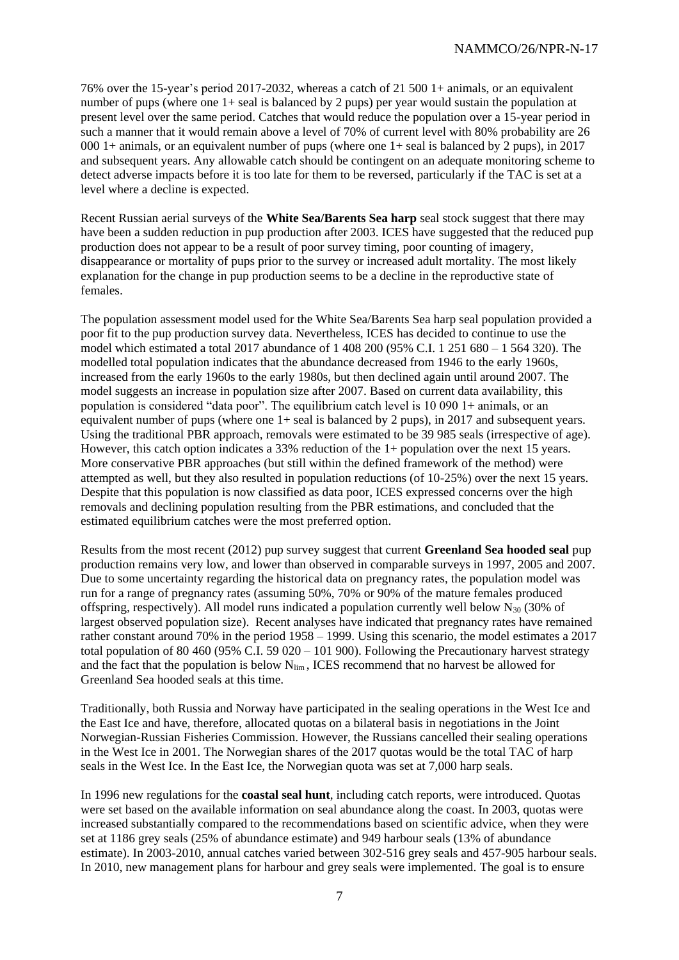76% over the 15-year's period 2017-2032, whereas a catch of 21 500 1+ animals, or an equivalent number of pups (where one 1+ seal is balanced by 2 pups) per year would sustain the population at present level over the same period. Catches that would reduce the population over a 15-year period in such a manner that it would remain above a level of 70% of current level with 80% probability are 26 000 1+ animals, or an equivalent number of pups (where one 1+ seal is balanced by 2 pups), in 2017 and subsequent years. Any allowable catch should be contingent on an adequate monitoring scheme to detect adverse impacts before it is too late for them to be reversed, particularly if the TAC is set at a level where a decline is expected.

Recent Russian aerial surveys of the **White Sea/Barents Sea harp** seal stock suggest that there may have been a sudden reduction in pup production after 2003. ICES have suggested that the reduced pup production does not appear to be a result of poor survey timing, poor counting of imagery, disappearance or mortality of pups prior to the survey or increased adult mortality. The most likely explanation for the change in pup production seems to be a decline in the reproductive state of females.

The population assessment model used for the White Sea/Barents Sea harp seal population provided a poor fit to the pup production survey data. Nevertheless, ICES has decided to continue to use the model which estimated a total 2017 abundance of 1 408 200 (95% C.I. 1 251 680 – 1 564 320). The modelled total population indicates that the abundance decreased from 1946 to the early 1960s, increased from the early 1960s to the early 1980s, but then declined again until around 2007. The model suggests an increase in population size after 2007. Based on current data availability, this population is considered "data poor". The equilibrium catch level is 10 090 1+ animals, or an equivalent number of pups (where one  $1+$  seal is balanced by 2 pups), in 2017 and subsequent years. Using the traditional PBR approach, removals were estimated to be 39 985 seals (irrespective of age). However, this catch option indicates a 33% reduction of the 1+ population over the next 15 years. More conservative PBR approaches (but still within the defined framework of the method) were attempted as well, but they also resulted in population reductions (of 10-25%) over the next 15 years. Despite that this population is now classified as data poor, ICES expressed concerns over the high removals and declining population resulting from the PBR estimations, and concluded that the estimated equilibrium catches were the most preferred option.

Results from the most recent (2012) pup survey suggest that current **Greenland Sea hooded seal** pup production remains very low, and lower than observed in comparable surveys in 1997, 2005 and 2007. Due to some uncertainty regarding the historical data on pregnancy rates, the population model was run for a range of pregnancy rates (assuming 50%, 70% or 90% of the mature females produced offspring, respectively). All model runs indicated a population currently well below  $N_{30}$  (30% of largest observed population size). Recent analyses have indicated that pregnancy rates have remained rather constant around 70% in the period 1958 – 1999. Using this scenario, the model estimates a 2017 total population of 80 460 (95% C.I. 59 020 – 101 900). Following the Precautionary harvest strategy and the fact that the population is below  $N_{\text{lim}}$ , ICES recommend that no harvest be allowed for Greenland Sea hooded seals at this time.

Traditionally, both Russia and Norway have participated in the sealing operations in the West Ice and the East Ice and have, therefore, allocated quotas on a bilateral basis in negotiations in the Joint Norwegian-Russian Fisheries Commission. However, the Russians cancelled their sealing operations in the West Ice in 2001. The Norwegian shares of the 2017 quotas would be the total TAC of harp seals in the West Ice. In the East Ice, the Norwegian quota was set at 7,000 harp seals.

In 1996 new regulations for the **coastal seal hunt**, including catch reports, were introduced. Quotas were set based on the available information on seal abundance along the coast. In 2003, quotas were increased substantially compared to the recommendations based on scientific advice, when they were set at 1186 grey seals (25% of abundance estimate) and 949 harbour seals (13% of abundance estimate). In 2003-2010, annual catches varied between 302-516 grey seals and 457-905 harbour seals. In 2010, new management plans for harbour and grey seals were implemented. The goal is to ensure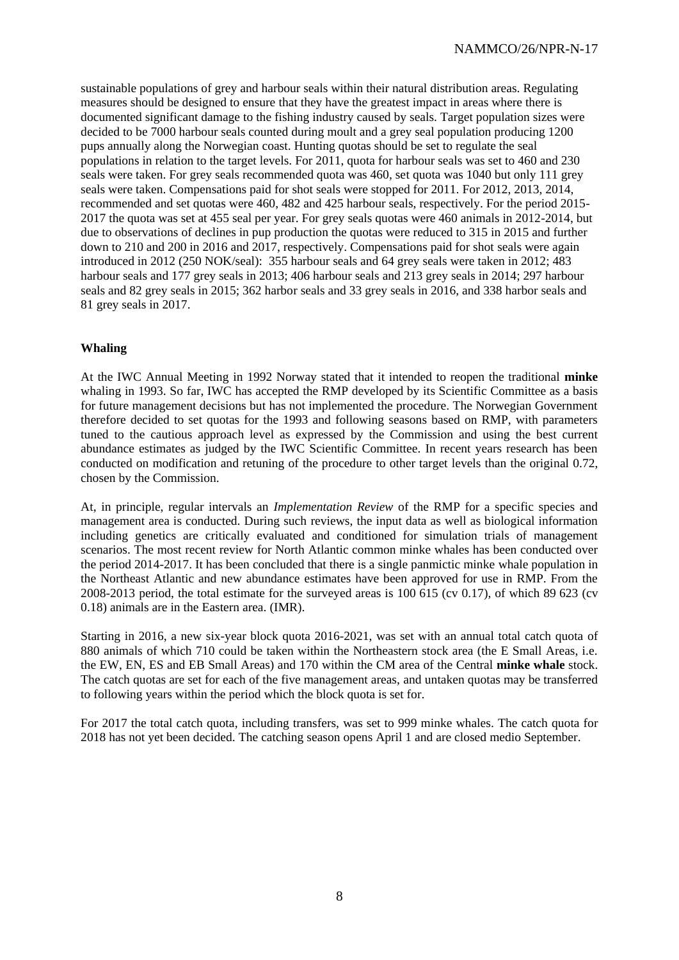sustainable populations of grey and harbour seals within their natural distribution areas. Regulating measures should be designed to ensure that they have the greatest impact in areas where there is documented significant damage to the fishing industry caused by seals. Target population sizes were decided to be 7000 harbour seals counted during moult and a grey seal population producing 1200 pups annually along the Norwegian coast. Hunting quotas should be set to regulate the seal populations in relation to the target levels. For 2011, quota for harbour seals was set to 460 and 230 seals were taken. For grey seals recommended quota was 460, set quota was 1040 but only 111 grey seals were taken. Compensations paid for shot seals were stopped for 2011. For 2012, 2013, 2014, recommended and set quotas were 460, 482 and 425 harbour seals, respectively. For the period 2015- 2017 the quota was set at 455 seal per year. For grey seals quotas were 460 animals in 2012-2014, but due to observations of declines in pup production the quotas were reduced to 315 in 2015 and further down to 210 and 200 in 2016 and 2017, respectively. Compensations paid for shot seals were again introduced in 2012 (250 NOK/seal): 355 harbour seals and 64 grey seals were taken in 2012; 483 harbour seals and 177 grey seals in 2013; 406 harbour seals and 213 grey seals in 2014; 297 harbour seals and 82 grey seals in 2015; 362 harbor seals and 33 grey seals in 2016, and 338 harbor seals and 81 grey seals in 2017.

## **Whaling**

At the IWC Annual Meeting in 1992 Norway stated that it intended to reopen the traditional **minke** whaling in 1993. So far, IWC has accepted the RMP developed by its Scientific Committee as a basis for future management decisions but has not implemented the procedure. The Norwegian Government therefore decided to set quotas for the 1993 and following seasons based on RMP, with parameters tuned to the cautious approach level as expressed by the Commission and using the best current abundance estimates as judged by the IWC Scientific Committee. In recent years research has been conducted on modification and retuning of the procedure to other target levels than the original 0.72, chosen by the Commission.

At, in principle, regular intervals an *Implementation Review* of the RMP for a specific species and management area is conducted. During such reviews, the input data as well as biological information including genetics are critically evaluated and conditioned for simulation trials of management scenarios. The most recent review for North Atlantic common minke whales has been conducted over the period 2014-2017. It has been concluded that there is a single panmictic minke whale population in the Northeast Atlantic and new abundance estimates have been approved for use in RMP. From the 2008-2013 period, the total estimate for the surveyed areas is  $100\overline{615}$  (cv 0.17), of which 89 623 (cv 0.18) animals are in the Eastern area. (IMR).

Starting in 2016, a new six-year block quota 2016-2021, was set with an annual total catch quota of 880 animals of which 710 could be taken within the Northeastern stock area (the E Small Areas, i.e. the EW, EN, ES and EB Small Areas) and 170 within the CM area of the Central **minke whale** stock. The catch quotas are set for each of the five management areas, and untaken quotas may be transferred to following years within the period which the block quota is set for.

For 2017 the total catch quota, including transfers, was set to 999 minke whales. The catch quota for 2018 has not yet been decided. The catching season opens April 1 and are closed medio September.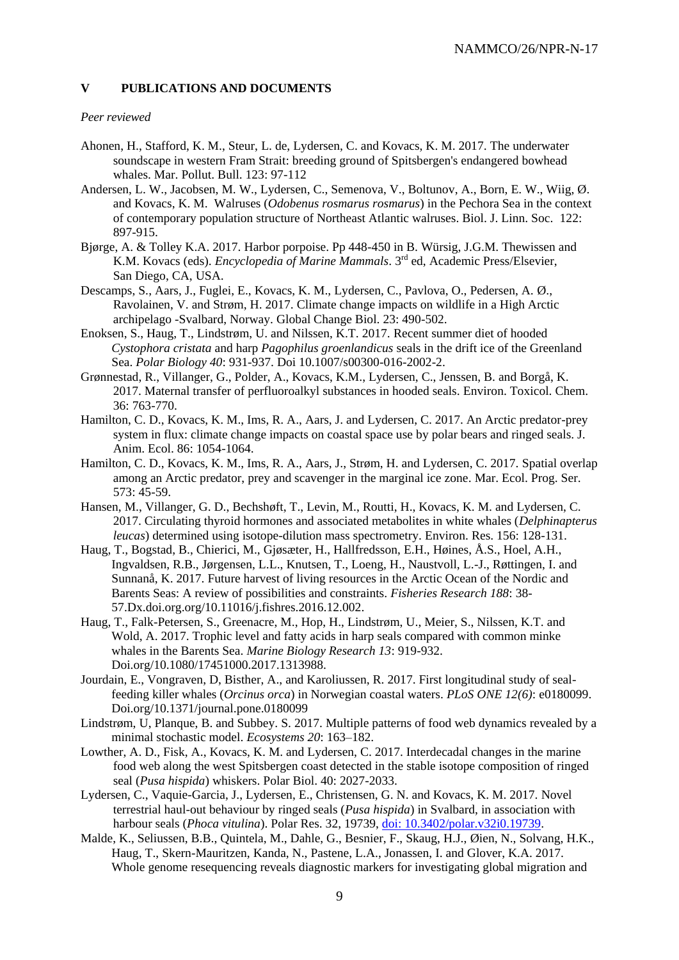### **V PUBLICATIONS AND DOCUMENTS**

#### *Peer reviewed*

- Ahonen, H., Stafford, K. M., Steur, L. de, Lydersen, C. and Kovacs, K. M. 2017. The underwater soundscape in western Fram Strait: breeding ground of Spitsbergen's endangered bowhead whales. Mar. Pollut. Bull. 123: 97-112
- Andersen, L. W., Jacobsen, M. W., Lydersen, C., Semenova, V., Boltunov, A., Born, E. W., Wiig, Ø. and Kovacs, K. M. Walruses (*Odobenus rosmarus rosmarus*) in the Pechora Sea in the context of contemporary population structure of Northeast Atlantic walruses. Biol. J. Linn. Soc. 122: 897-915.
- Bjørge, A. & Tolley K.A. 2017. Harbor porpoise. Pp 448-450 in B. Würsig, J.G.M. Thewissen and K.M. Kovacs (eds). *Encyclopedia of Marine Mammals*. 3rd ed, Academic Press/Elsevier, San Diego, CA, USA.
- Descamps, S., Aars, J., Fuglei, E., Kovacs, K. M., Lydersen, C., Pavlova, O., Pedersen, A. Ø., Ravolainen, V. and Strøm, H. 2017. Climate change impacts on wildlife in a High Arctic archipelago -Svalbard, Norway. Global Change Biol. 23: 490-502.
- Enoksen, S., Haug, T., Lindstrøm, U. and Nilssen, K.T. 2017. Recent summer diet of hooded *Cystophora cristata* and harp *Pagophilus groenlandicus* seals in the drift ice of the Greenland Sea. *Polar Biology 40*: 931-937. Doi 10.1007/s00300-016-2002-2.
- Grønnestad, R., Villanger, G., Polder, A., Kovacs, K.M., Lydersen, C., Jenssen, B. and Borgå, K. 2017. Maternal transfer of perfluoroalkyl substances in hooded seals. Environ. Toxicol. Chem. 36: 763-770.
- Hamilton, C. D., Kovacs, K. M., Ims, R. A., Aars, J. and Lydersen, C. 2017. An Arctic predator-prey system in flux: climate change impacts on coastal space use by polar bears and ringed seals. J. Anim. Ecol. 86: 1054-1064.
- Hamilton, C. D., Kovacs, K. M., Ims, R. A., Aars, J., Strøm, H. and Lydersen, C. 2017. Spatial overlap among an Arctic predator, prey and scavenger in the marginal ice zone. Mar. Ecol. Prog. Ser. 573: 45-59.
- Hansen, M., Villanger, G. D., Bechshøft, T., Levin, M., Routti, H., Kovacs, K. M. and Lydersen, C. 2017. Circulating thyroid hormones and associated metabolites in white whales (*Delphinapterus leucas*) determined using isotope-dilution mass spectrometry. Environ. Res. 156: 128-131.
- Haug, T., Bogstad, B., Chierici, M., Gjøsæter, H., Hallfredsson, E.H., Høines, Å.S., Hoel, A.H., Ingvaldsen, R.B., Jørgensen, L.L., Knutsen, T., Loeng, H., Naustvoll, L.-J., Røttingen, I. and Sunnanå, K. 2017. Future harvest of living resources in the Arctic Ocean of the Nordic and Barents Seas: A review of possibilities and constraints. *Fisheries Research 188*: 38- 57.Dx.doi.org.org/10.11016/j.fishres.2016.12.002.
- Haug, T., Falk-Petersen, S., Greenacre, M., Hop, H., Lindstrøm, U., Meier, S., Nilssen, K.T. and Wold, A. 2017. Trophic level and fatty acids in harp seals compared with common minke whales in the Barents Sea. *Marine Biology Research 13*: 919-932. Doi.org/10.1080/17451000.2017.1313988.
- Jourdain, E., Vongraven, D, Bisther, A., and Karoliussen, R. 2017. First longitudinal study of sealfeeding killer whales (*Orcinus orca*) in Norwegian coastal waters. *PLoS ONE 12(6)*: e0180099. Doi.org/10.1371/journal.pone.0180099
- Lindstrøm, U, Planque, B. and Subbey. S. 2017. Multiple patterns of food web dynamics revealed by a minimal stochastic model. *Ecosystems 20*: 163–182.
- Lowther, A. D., Fisk, A., Kovacs, K. M. and Lydersen, C. 2017. Interdecadal changes in the marine food web along the west Spitsbergen coast detected in the stable isotope composition of ringed seal (*Pusa hispida*) whiskers. Polar Biol. 40: 2027-2033.
- Lydersen, C., Vaquie-Garcia, J., Lydersen, E., Christensen, G. N. and Kovacs, K. M. 2017. Novel terrestrial haul-out behaviour by ringed seals (*Pusa hispida*) in Svalbard, in association with harbour seals (*Phoca vitulina*). Polar Res. 32, 19739, [doi: 10.3402/polar.v32i0.19739.](http://dx.doi.org/10.3402/polar.v32i0.19739)
- Malde, K., Seliussen, B.B., Quintela, M., Dahle, G., Besnier, F., Skaug, H.J., Øien, N., Solvang, H.K., Haug, T., Skern-Mauritzen, Kanda, N., Pastene, L.A., Jonassen, I. and Glover, K.A. 2017. Whole genome resequencing reveals diagnostic markers for investigating global migration and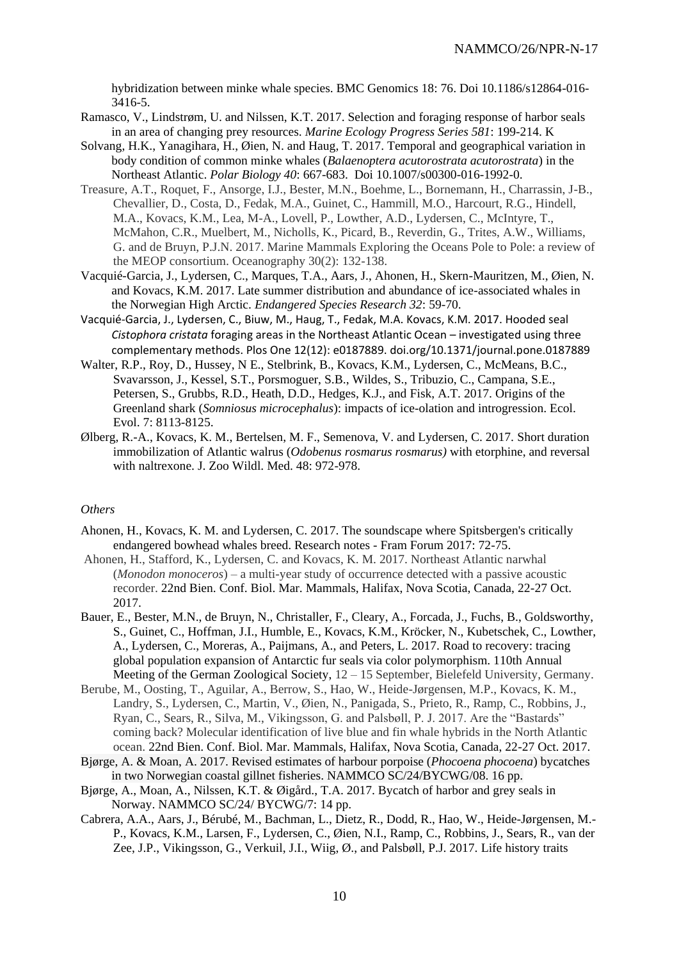hybridization between minke whale species. BMC Genomics 18: 76. Doi 10.1186/s12864-016- 3416-5.

- Ramasco, V., Lindstrøm, U. and Nilssen, K.T. 2017. Selection and foraging response of harbor seals in an area of changing prey resources. *Marine Ecology Progress Series 581*: 199-214. K
- Solvang, H.K., Yanagihara, H., Øien, N. and Haug, T. 2017. Temporal and geographical variation in body condition of common minke whales (*Balaenoptera acutorostrata acutorostrata*) in the Northeast Atlantic. *Polar Biology 40*: 667-683. Doi 10.1007/s00300-016-1992-0.
- Treasure, A.T., Roquet, F., Ansorge, I.J., Bester, M.N., Boehme, L., Bornemann, H., Charrassin, J-B., Chevallier, D., Costa, D., Fedak, M.A., Guinet, C., Hammill, M.O., Harcourt, R.G., Hindell, M.A., Kovacs, K.M., Lea, M-A., Lovell, P., Lowther, A.D., Lydersen, C., McIntyre, T., McMahon, C.R., Muelbert, M., Nicholls, K., Picard, B., Reverdin, G., Trites, A.W., Williams, G. and de Bruyn, P.J.N. 2017. Marine Mammals Exploring the Oceans Pole to Pole: a review of the MEOP consortium. Oceanography 30(2): 132-138.
- Vacquié-Garcia, J., Lydersen, C., Marques, T.A., Aars, J., Ahonen, H., Skern-Mauritzen, M., Øien, N. and Kovacs, K.M. 2017. Late summer distribution and abundance of ice-associated whales in the Norwegian High Arctic. *Endangered Species Research 32*: 59-70.
- Vacquié-Garcia, J., Lydersen, C., Biuw, M., Haug, T., Fedak, M.A. Kovacs, K.M. 2017. Hooded seal *Cistophora cristata* foraging areas in the Northeast Atlantic Ocean – investigated using three complementary methods. Plos One 12(12): e0187889. doi.org/10.1371/journal.pone.0187889
- Walter, R.P., Roy, D., Hussey, N E., Stelbrink, B., Kovacs, K.M., Lydersen, C., McMeans, B.C., Svavarsson, J., Kessel, S.T., Porsmoguer, S.B., Wildes, S., Tribuzio, C., Campana, S.E., Petersen, S., Grubbs, R.D., Heath, D.D., Hedges, K.J., and Fisk, A.T. 2017. Origins of the Greenland shark (*Somniosus microcephalus*): impacts of ice-olation and introgression. Ecol. Evol. 7: 8113-8125.
- Ølberg, R.-A., Kovacs, K. M., Bertelsen, M. F., Semenova, V. and Lydersen, C. 2017. Short duration immobilization of Atlantic walrus (*Odobenus rosmarus rosmarus)* with etorphine, and reversal with naltrexone. J. Zoo Wildl. Med. 48: 972-978.

#### *Others*

- Ahonen, H., Kovacs, K. M. and Lydersen, C. 2017. The soundscape where Spitsbergen's critically endangered bowhead whales breed. Research notes - Fram Forum 2017: 72-75.
- Ahonen, H., Stafford, K., Lydersen, C. and Kovacs, K. M. 2017. Northeast Atlantic narwhal (*Monodon monoceros*) – a multi-year study of occurrence detected with a passive acoustic recorder. 22nd Bien. Conf. Biol. Mar. Mammals, Halifax, Nova Scotia, Canada, 22-27 Oct. 2017.
- Bauer, E., Bester, M.N., de Bruyn, N., Christaller, F., Cleary, A., Forcada, J., Fuchs, B., Goldsworthy, S., Guinet, C., Hoffman, J.I., Humble, E., Kovacs, K.M., Kröcker, N., Kubetschek, C., Lowther, A., Lydersen, C., Moreras, A., Paijmans, A., and Peters, L. 2017. Road to recovery: tracing global population expansion of Antarctic fur seals via color polymorphism. 110th Annual Meeting of the German Zoological Society, 12 – 15 September, Bielefeld University, Germany.
- Berube, M., Oosting, T., Aguilar, A., Berrow, S., Hao, W., Heide-Jørgensen, M.P., Kovacs, K. M., Landry, S., Lydersen, C., Martin, V., Øien, N., Panigada, S., Prieto, R., Ramp, C., Robbins, J., Ryan, C., Sears, R., Silva, M., Vikingsson, G. and Palsbøll, P. J. 2017. Are the "Bastards" coming back? Molecular identification of live blue and fin whale hybrids in the North Atlantic ocean. 22nd Bien. Conf. Biol. Mar. Mammals, Halifax, Nova Scotia, Canada, 22-27 Oct. 2017.
- Bjørge, A. & Moan, A. 2017. Revised estimates of harbour porpoise (*Phocoena phocoena*) bycatches in two Norwegian coastal gillnet fisheries. NAMMCO SC/24/BYCWG/08. 16 pp.
- Bjørge, A., Moan, A., Nilssen, K.T. & Øigård., T.A. 2017. Bycatch of harbor and grey seals in Norway. NAMMCO SC/24/ BYCWG/7: 14 pp.
- Cabrera, A.A., Aars, J., Bérubé, M., Bachman, L., Dietz, R., Dodd, R., Hao, W., Heide-Jørgensen, M.- P., Kovacs, K.M., Larsen, F., Lydersen, C., Øien, N.I., Ramp, C., Robbins, J., Sears, R., van der Zee, J.P., Vikingsson, G., Verkuil, J.I., Wiig, Ø., and Palsbøll, P.J. 2017. Life history traits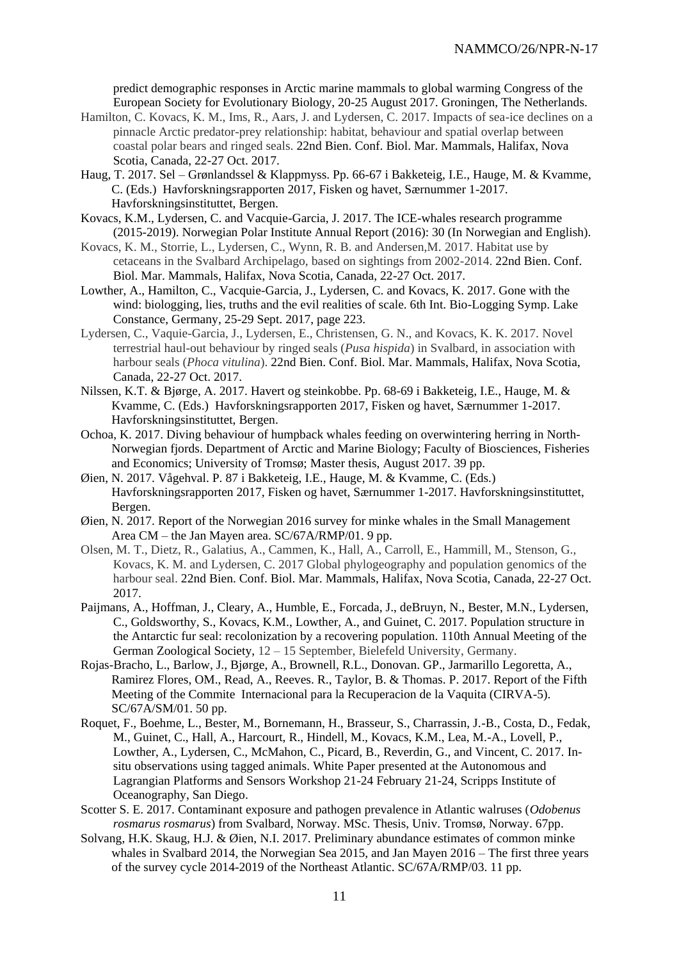predict demographic responses in Arctic marine mammals to global warming Congress of the European Society for Evolutionary Biology, 20-25 August 2017. Groningen, The Netherlands.

- Hamilton, C. Kovacs, K. M., Ims, R., Aars, J. and Lydersen, C. 2017. Impacts of sea-ice declines on a pinnacle Arctic predator-prey relationship: habitat, behaviour and spatial overlap between coastal polar bears and ringed seals. 22nd Bien. Conf. Biol. Mar. Mammals, Halifax, Nova Scotia, Canada, 22-27 Oct. 2017.
- Haug, T. 2017. Sel Grønlandssel & Klappmyss. Pp. 66-67 i Bakketeig, I.E., Hauge, M. & Kvamme, C. (Eds.) Havforskningsrapporten 2017, Fisken og havet, Særnummer 1-2017. Havforskningsinstituttet, Bergen.
- Kovacs, K.M., Lydersen, C. and Vacquie-Garcia, J. 2017. The ICE-whales research programme (2015-2019). Norwegian Polar Institute Annual Report (2016): 30 (In Norwegian and English).
- Kovacs, K. M., Storrie, L., Lydersen, C., Wynn, R. B. and Andersen,M. 2017. Habitat use by cetaceans in the Svalbard Archipelago, based on sightings from 2002-2014. 22nd Bien. Conf. Biol. Mar. Mammals, Halifax, Nova Scotia, Canada, 22-27 Oct. 2017.
- Lowther, A., Hamilton, C., Vacquie-Garcia, J., Lydersen, C. and Kovacs, K. 2017. Gone with the wind: biologging, lies, truths and the evil realities of scale. 6th Int. Bio-Logging Symp. Lake Constance, Germany, 25-29 Sept. 2017, page 223.
- Lydersen, C., Vaquie-Garcia, J., Lydersen, E., Christensen, G. N., and Kovacs, K. K. 2017. Novel terrestrial haul-out behaviour by ringed seals (*Pusa hispida*) in Svalbard, in association with harbour seals (*Phoca vitulina*). 22nd Bien. Conf. Biol. Mar. Mammals, Halifax, Nova Scotia, Canada, 22-27 Oct. 2017.
- Nilssen, K.T. & Bjørge, A. 2017. Havert og steinkobbe. Pp. 68-69 i Bakketeig, I.E., Hauge, M. & Kvamme, C. (Eds.) Havforskningsrapporten 2017, Fisken og havet, Særnummer 1-2017. Havforskningsinstituttet, Bergen.
- Ochoa, K. 2017. Diving behaviour of humpback whales feeding on overwintering herring in North-Norwegian fjords. Department of Arctic and Marine Biology; Faculty of Biosciences, Fisheries and Economics; University of Tromsø; Master thesis, August 2017. 39 pp.
- Øien, N. 2017. Vågehval. P. 87 i Bakketeig, I.E., Hauge, M. & Kvamme, C. (Eds.) Havforskningsrapporten 2017, Fisken og havet, Særnummer 1-2017. Havforskningsinstituttet, Bergen.
- Øien, N. 2017. Report of the Norwegian 2016 survey for minke whales in the Small Management Area CM – the Jan Mayen area. SC/67A/RMP/01. 9 pp.
- Olsen, M. T., Dietz, R., Galatius, A., Cammen, K., Hall, A., Carroll, E., Hammill, M., Stenson, G., Kovacs, K. M. and Lydersen, C. 2017 Global phylogeography and population genomics of the harbour seal. 22nd Bien. Conf. Biol. Mar. Mammals, Halifax, Nova Scotia, Canada, 22-27 Oct. 2017.
- Paijmans, A., Hoffman, J., Cleary, A., Humble, E., Forcada, J., deBruyn, N., Bester, M.N., Lydersen, C., Goldsworthy, S., Kovacs, K.M., Lowther, A., and Guinet, C. 2017. Population structure in the Antarctic fur seal: recolonization by a recovering population. 110th Annual Meeting of the German Zoological Society, 12 – 15 September, Bielefeld University, Germany.
- Rojas-Bracho, L., Barlow, J., Bjørge, A., Brownell, R.L., Donovan. GP., Jarmarillo Legoretta, A., Ramirez Flores, OM., Read, A., Reeves. R., Taylor, B. & Thomas. P. 2017. Report of the Fifth Meeting of the Commite Internacional para la Recuperacion de la Vaquita (CIRVA-5). SC/67A/SM/01. 50 pp.
- Roquet, F., Boehme, L., Bester, M., Bornemann, H., Brasseur, S., Charrassin, J.-B., Costa, D., Fedak, M., Guinet, C., Hall, A., Harcourt, R., Hindell, M., Kovacs, K.M., Lea, M.-A., Lovell, P., Lowther, A., Lydersen, C., McMahon, C., Picard, B., Reverdin, G., and Vincent, C. 2017. Insitu observations using tagged animals. White Paper presented at the Autonomous and Lagrangian Platforms and Sensors Workshop 21-24 February 21-24, Scripps Institute of Oceanography, San Diego.
- Scotter S. E. 2017. Contaminant exposure and pathogen prevalence in Atlantic walruses (*Odobenus rosmarus rosmarus*) from Svalbard, Norway. MSc. Thesis, Univ. Tromsø, Norway. 67pp.
- Solvang, H.K. Skaug, H.J. & Øien, N.I. 2017. Preliminary abundance estimates of common minke whales in Svalbard 2014, the Norwegian Sea 2015, and Jan Mayen 2016 – The first three years of the survey cycle 2014-2019 of the Northeast Atlantic. SC/67A/RMP/03. 11 pp.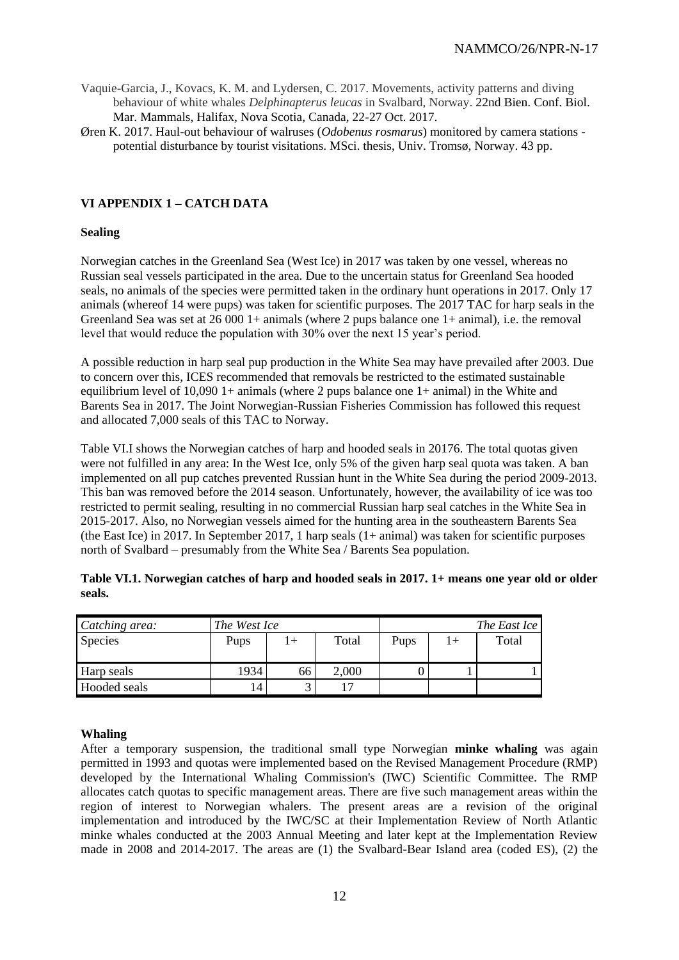- Vaquie-Garcia, J., Kovacs, K. M. and Lydersen, C. 2017. Movements, activity patterns and diving behaviour of white whales *Delphinapterus leucas* in Svalbard, Norway. 22nd Bien. Conf. Biol. Mar. Mammals, Halifax, Nova Scotia, Canada, 22-27 Oct. 2017.
- Øren K. 2017. Haul-out behaviour of walruses (*Odobenus rosmarus*) monitored by camera stations potential disturbance by tourist visitations. MSci. thesis, Univ. Tromsø, Norway. 43 pp.

# **VI APPENDIX 1 – CATCH DATA**

### **Sealing**

Norwegian catches in the Greenland Sea (West Ice) in 2017 was taken by one vessel, whereas no Russian seal vessels participated in the area. Due to the uncertain status for Greenland Sea hooded seals, no animals of the species were permitted taken in the ordinary hunt operations in 2017. Only 17 animals (whereof 14 were pups) was taken for scientific purposes. The 2017 TAC for harp seals in the Greenland Sea was set at  $26\,000$  1+ animals (where 2 pups balance one 1+ animal), i.e. the removal level that would reduce the population with 30% over the next 15 year's period.

A possible reduction in harp seal pup production in the White Sea may have prevailed after 2003. Due to concern over this, ICES recommended that removals be restricted to the estimated sustainable equilibrium level of 10,090 1+ animals (where 2 pups balance one 1+ animal) in the White and Barents Sea in 2017. The Joint Norwegian-Russian Fisheries Commission has followed this request and allocated 7,000 seals of this TAC to Norway.

Table VI.I shows the Norwegian catches of harp and hooded seals in 20176. The total quotas given were not fulfilled in any area: In the West Ice, only 5% of the given harp seal quota was taken. A ban implemented on all pup catches prevented Russian hunt in the White Sea during the period 2009-2013. This ban was removed before the 2014 season. Unfortunately, however, the availability of ice was too restricted to permit sealing, resulting in no commercial Russian harp seal catches in the White Sea in 2015-2017. Also, no Norwegian vessels aimed for the hunting area in the southeastern Barents Sea (the East Ice) in 2017. In September 2017, 1 harp seals (1+ animal) was taken for scientific purposes north of Svalbard – presumably from the White Sea / Barents Sea population.

| Catching area: | The West Ice |    |            | The East Ice |  |       |  |  |
|----------------|--------------|----|------------|--------------|--|-------|--|--|
| <b>Species</b> | Pups         |    | Total      | Pups         |  | Total |  |  |
| Harp seals     | 1934         | 66 | 2,000      |              |  |       |  |  |
| Hooded seals   |              |    | $\sqrt{7}$ |              |  |       |  |  |

| Table VI.1. Norwegian catches of harp and hooded seals in 2017. 1+ means one year old or older |  |
|------------------------------------------------------------------------------------------------|--|
| seals.                                                                                         |  |

### **Whaling**

After a temporary suspension, the traditional small type Norwegian **minke whaling** was again permitted in 1993 and quotas were implemented based on the Revised Management Procedure (RMP) developed by the International Whaling Commission's (IWC) Scientific Committee. The RMP allocates catch quotas to specific management areas. There are five such management areas within the region of interest to Norwegian whalers. The present areas are a revision of the original implementation and introduced by the IWC/SC at their Implementation Review of North Atlantic minke whales conducted at the 2003 Annual Meeting and later kept at the Implementation Review made in 2008 and 2014-2017. The areas are (1) the Svalbard-Bear Island area (coded ES), (2) the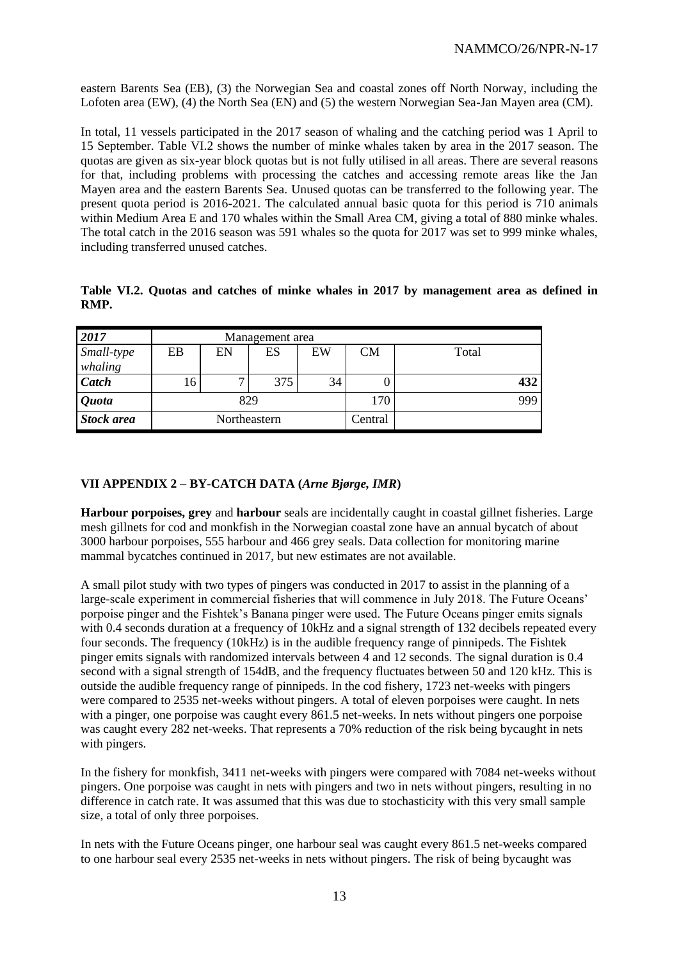eastern Barents Sea (EB), (3) the Norwegian Sea and coastal zones off North Norway, including the Lofoten area (EW), (4) the North Sea (EN) and (5) the western Norwegian Sea-Jan Mayen area (CM).

In total, 11 vessels participated in the 2017 season of whaling and the catching period was 1 April to 15 September. Table VI.2 shows the number of minke whales taken by area in the 2017 season. The quotas are given as six-year block quotas but is not fully utilised in all areas. There are several reasons for that, including problems with processing the catches and accessing remote areas like the Jan Mayen area and the eastern Barents Sea. Unused quotas can be transferred to the following year. The present quota period is 2016-2021. The calculated annual basic quota for this period is 710 animals within Medium Area E and 170 whales within the Small Area CM, giving a total of 880 minke whales. The total catch in the 2016 season was 591 whales so the quota for 2017 was set to 999 minke whales, including transferred unused catches.

|      |  |  |  |  |  | Table VI.2. Quotas and catches of minke whales in 2017 by management area as defined in |  |  |
|------|--|--|--|--|--|-----------------------------------------------------------------------------------------|--|--|
| RMP. |  |  |  |  |  |                                                                                         |  |  |

| 2017                | Management area |              |     |    |           |       |  |  |  |  |
|---------------------|-----------------|--------------|-----|----|-----------|-------|--|--|--|--|
| Small-type          | EB              | EN           | ES  | EW | <b>CM</b> | Total |  |  |  |  |
| whaling             |                 |              |     |    |           |       |  |  |  |  |
| Catch               | 16              | ⇁            | 375 | 34 |           | 432   |  |  |  |  |
| <i><b>Quota</b></i> |                 | 829          |     |    | 170       | 999   |  |  |  |  |
| <b>Stock area</b>   |                 | Northeastern |     |    | Central   |       |  |  |  |  |

# **VII APPENDIX 2 – BY-CATCH DATA (***Arne Bjørge, IMR***)**

**Harbour porpoises, grey** and **harbour** seals are incidentally caught in coastal gillnet fisheries. Large mesh gillnets for cod and monkfish in the Norwegian coastal zone have an annual bycatch of about 3000 harbour porpoises, 555 harbour and 466 grey seals. Data collection for monitoring marine mammal bycatches continued in 2017, but new estimates are not available.

A small pilot study with two types of pingers was conducted in 2017 to assist in the planning of a large-scale experiment in commercial fisheries that will commence in July 2018. The Future Oceans' porpoise pinger and the Fishtek's Banana pinger were used. The Future Oceans pinger emits signals with 0.4 seconds duration at a frequency of 10kHz and a signal strength of 132 decibels repeated every four seconds. The frequency (10kHz) is in the audible frequency range of pinnipeds. The Fishtek pinger emits signals with randomized intervals between 4 and 12 seconds. The signal duration is 0.4 second with a signal strength of 154dB, and the frequency fluctuates between 50 and 120 kHz. This is outside the audible frequency range of pinnipeds. In the cod fishery, 1723 net-weeks with pingers were compared to 2535 net-weeks without pingers. A total of eleven porpoises were caught. In nets with a pinger, one porpoise was caught every 861.5 net-weeks. In nets without pingers one porpoise was caught every 282 net-weeks. That represents a 70% reduction of the risk being bycaught in nets with pingers.

In the fishery for monkfish, 3411 net-weeks with pingers were compared with 7084 net-weeks without pingers. One porpoise was caught in nets with pingers and two in nets without pingers, resulting in no difference in catch rate. It was assumed that this was due to stochasticity with this very small sample size, a total of only three porpoises.

In nets with the Future Oceans pinger, one harbour seal was caught every 861.5 net-weeks compared to one harbour seal every 2535 net-weeks in nets without pingers. The risk of being bycaught was